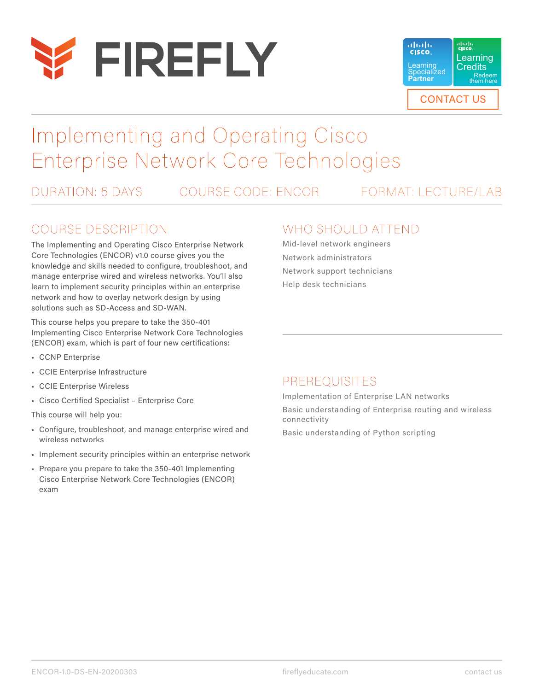



# Implementing and Operating Cisco Enterprise Network Core Technologies

DURATION: 5 DAYS COURSE CODE: ENCOR FORMAT: LECTURE/LAB

#### COURSE DESCRIPTION

The Implementing and Operating Cisco Enterprise Network Core Technologies (ENCOR) v1.0 course gives you the knowledge and skills needed to configure, troubleshoot, and manage enterprise wired and wireless networks. You'll also learn to implement security principles within an enterprise network and how to overlay network design by using solutions such as SD-Access and SD-WAN.

This course helps you prepare to take the 350-401 Implementing Cisco Enterprise Network Core Technologies (ENCOR) exam, which is part of four new certifications:

- CCNP Enterprise
- CCIE Enterprise Infrastructure
- CCIE Enterprise Wireless
- Cisco Certified Specialist Enterprise Core

This course will help you:

- Configure, troubleshoot, and manage enterprise wired and wireless networks
- Implement security principles within an enterprise network
- Prepare you prepare to take the 350-401 Implementing Cisco Enterprise Network Core Technologies (ENCOR) exam

#### WHO SHOULD ATTEND

Mid-level network engineers Network administrators Network support technicians Help desk technicians

#### PREREQUISITES

Implementation of Enterprise LAN networks Basic understanding of Enterprise routing and wireless connectivity

Basic understanding of Python scripting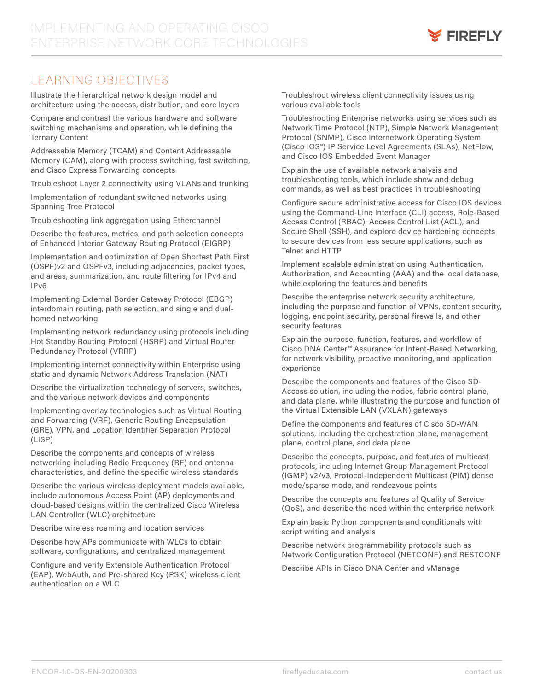

### LEARNING OBJECTIVES

Illustrate the hierarchical network design model and architecture using the access, distribution, and core layers

Compare and contrast the various hardware and software switching mechanisms and operation, while defining the Ternary Content

Addressable Memory (TCAM) and Content Addressable Memory (CAM), along with process switching, fast switching, and Cisco Express Forwarding concepts

Troubleshoot Layer 2 connectivity using VLANs and trunking

Implementation of redundant switched networks using Spanning Tree Protocol

Troubleshooting link aggregation using Etherchannel

Describe the features, metrics, and path selection concepts of Enhanced Interior Gateway Routing Protocol (EIGRP)

Implementation and optimization of Open Shortest Path First (OSPF)v2 and OSPFv3, including adjacencies, packet types, and areas, summarization, and route filtering for IPv4 and IPv6

Implementing External Border Gateway Protocol (EBGP) interdomain routing, path selection, and single and dualhomed networking

Implementing network redundancy using protocols including Hot Standby Routing Protocol (HSRP) and Virtual Router Redundancy Protocol (VRRP)

Implementing internet connectivity within Enterprise using static and dynamic Network Address Translation (NAT)

Describe the virtualization technology of servers, switches, and the various network devices and components

Implementing overlay technologies such as Virtual Routing and Forwarding (VRF), Generic Routing Encapsulation (GRE), VPN, and Location Identifier Separation Protocol (LISP)

Describe the components and concepts of wireless networking including Radio Frequency (RF) and antenna characteristics, and define the specific wireless standards

Describe the various wireless deployment models available, include autonomous Access Point (AP) deployments and cloud-based designs within the centralized Cisco Wireless LAN Controller (WLC) architecture

Describe wireless roaming and location services

Describe how APs communicate with WLCs to obtain software, configurations, and centralized management

Configure and verify Extensible Authentication Protocol (EAP), WebAuth, and Pre-shared Key (PSK) wireless client authentication on a WLC

Troubleshoot wireless client connectivity issues using various available tools

Troubleshooting Enterprise networks using services such as Network Time Protocol (NTP), Simple Network Management Protocol (SNMP), Cisco Internetwork Operating System (Cisco IOS®) IP Service Level Agreements (SLAs), NetFlow, and Cisco IOS Embedded Event Manager

Explain the use of available network analysis and troubleshooting tools, which include show and debug commands, as well as best practices in troubleshooting

Configure secure administrative access for Cisco IOS devices using the Command-Line Interface (CLI) access, Role-Based Access Control (RBAC), Access Control List (ACL), and Secure Shell (SSH), and explore device hardening concepts to secure devices from less secure applications, such as Telnet and HTTP

Implement scalable administration using Authentication, Authorization, and Accounting (AAA) and the local database, while exploring the features and benefits

Describe the enterprise network security architecture, including the purpose and function of VPNs, content security, logging, endpoint security, personal firewalls, and other security features

Explain the purpose, function, features, and workflow of Cisco DNA Center™ Assurance for Intent-Based Networking, for network visibility, proactive monitoring, and application experience

Describe the components and features of the Cisco SD-Access solution, including the nodes, fabric control plane, and data plane, while illustrating the purpose and function of the Virtual Extensible LAN (VXLAN) gateways

Define the components and features of Cisco SD-WAN solutions, including the orchestration plane, management plane, control plane, and data plane

Describe the concepts, purpose, and features of multicast protocols, including Internet Group Management Protocol (IGMP) v2/v3, Protocol-Independent Multicast (PIM) dense mode/sparse mode, and rendezvous points

Describe the concepts and features of Quality of Service (QoS), and describe the need within the enterprise network

Explain basic Python components and conditionals with script writing and analysis

Describe network programmability protocols such as Network Configuration Protocol (NETCONF) and RESTCONF

Describe APIs in Cisco DNA Center and vManage